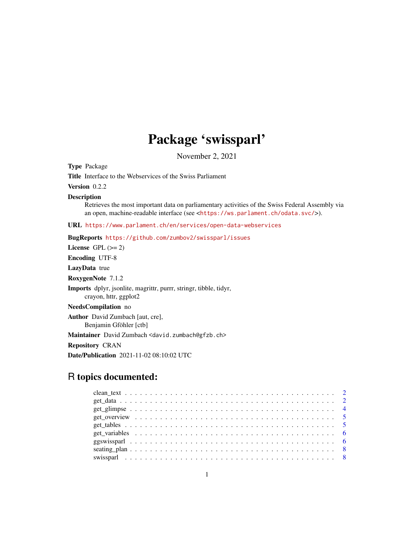## Package 'swissparl'

November 2, 2021

Type Package

Title Interface to the Webservices of the Swiss Parliament

Version 0.2.2

#### Description

Retrieves the most important data on parliamentary activities of the Swiss Federal Assembly via an open, machine-readable interface (see <<https://ws.parlament.ch/odata.svc/>>).

URL <https://www.parlament.ch/en/services/open-data-webservices>

BugReports <https://github.com/zumbov2/swissparl/issues>

License GPL  $(>= 2)$ 

Encoding UTF-8

LazyData true

RoxygenNote 7.1.2

Imports dplyr, jsonlite, magrittr, purrr, stringr, tibble, tidyr, crayon, httr, ggplot2

NeedsCompilation no

Author David Zumbach [aut, cre], Benjamin Gföhler [ctb]

Maintainer David Zumbach <david.zumbach@gfzb.ch>

Repository CRAN

Date/Publication 2021-11-02 08:10:02 UTC

### R topics documented: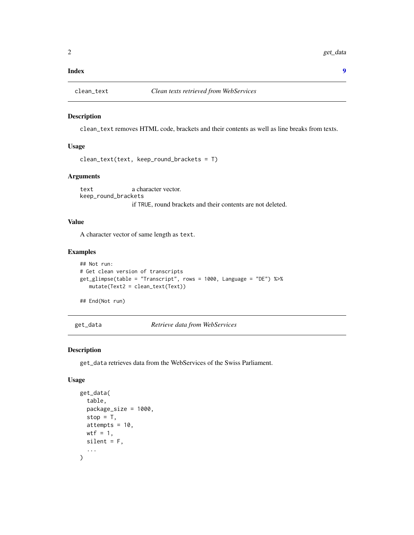#### <span id="page-1-0"></span>**Index** [9](#page-8-0)

#### Description

clean\_text removes HTML code, brackets and their contents as well as line breaks from texts.

#### Usage

```
clean_text(text, keep_round_brackets = T)
```
#### Arguments

text a character vector. keep\_round\_brackets if TRUE, round brackets and their contents are not deleted.

#### Value

A character vector of same length as text.

#### Examples

```
## Not run:
# Get clean version of transcripts
get_glimpse(table = "Transcript", rows = 1000, Language = "DE") %>%
  mutate(Text2 = clean_text(Text))
```
## End(Not run)

get\_data *Retrieve data from WebServices*

#### Description

get\_data retrieves data from the WebServices of the Swiss Parliament.

#### Usage

```
get_data(
  table,
  package_size = 1000,
  stop = T,
  attempts = 10,
  wtf = 1,
  silent = F,
  ...
\mathcal{L}
```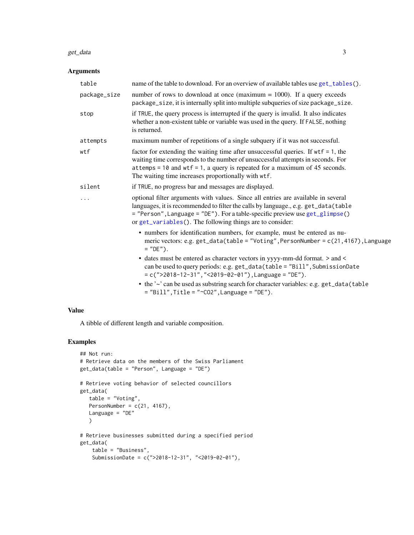#### <span id="page-2-0"></span>get\_data 3

#### Arguments

| table        | name of the table to download. For an overview of available tables use get_tables().                                                                                                                                                                                                                                 |
|--------------|----------------------------------------------------------------------------------------------------------------------------------------------------------------------------------------------------------------------------------------------------------------------------------------------------------------------|
| package_size | number of rows to download at once (maximum $= 1000$ ). If a query exceeds<br>package_size, it is internally split into multiple subqueries of size package_size.                                                                                                                                                    |
| stop         | if TRUE, the query process is interrupted if the query is invalid. It also indicates<br>whether a non-existent table or variable was used in the query. If FALSE, nothing<br>is returned.                                                                                                                            |
| attempts     | maximum number of repetitions of a single subquery if it was not successful.                                                                                                                                                                                                                                         |
| wtf          | factor for extending the waiting time after unsuccessful queries. If $wtf = 1$ , the<br>waiting time corresponds to the number of unsuccessful attempts in seconds. For<br>$at$ temps = 10 and wtf = 1, a query is repeated for a maximum of 45 seconds.<br>The waiting time increases proportionally with wtf.      |
| silent       | if TRUE, no progress bar and messages are displayed.                                                                                                                                                                                                                                                                 |
|              | optional filter arguments with values. Since all entries are available in several<br>languages, it is recommended to filter the calls by language., e.g. get_data(table<br>= "Person", Language = "DE"). For a table-specific preview use get_glimpse()<br>or get_variables(). The following things are to consider: |
|              | • numbers for identification numbers, for example, must be entered as nu-<br>meric vectors: e.g. get_data(table = "Voting", PersonNumber = c(21,4167), Language<br>$=$ "DE").                                                                                                                                        |
|              | • dates must be entered as character vectors in yyyy-mm-dd format. > and <<br>can be used to query periods: e.g. get_data(table = "Bill", SubmissionDate<br>$= c("2018-12-31", "2019-02-01")$ , Language = "DE").                                                                                                    |
|              | • the '~' can be used as substring search for character variables: e.g. get_data(table<br>$=$ "Bill", Title = "~CO2", Language = "DE").                                                                                                                                                                              |

#### Value

A tibble of different length and variable composition.

#### Examples

```
## Not run:
# Retrieve data on the members of the Swiss Parliament
get_data(table = "Person", Language = "DE")
# Retrieve voting behavior of selected councillors
get_data(
  table = "Voting",
  PersonNumber = c(21, 4167),
  Language = "DE"
  \lambda# Retrieve businesses submitted during a specified period
get_data(
   table = "Business",
   SubmissionDate = c(">2018-12-31", "<2019-02-01"),
```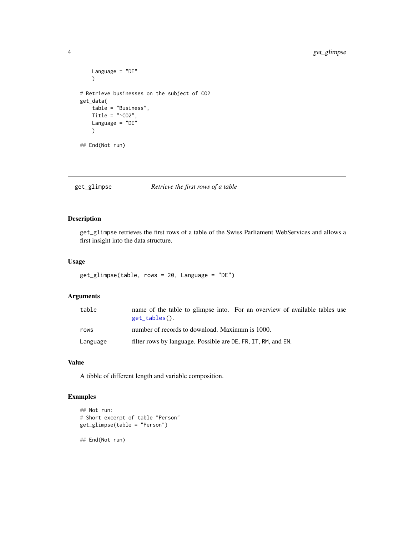```
Language = "DE"
    \mathcal{L}# Retrieve businesses on the subject of CO2
get_data(
    table = "Business",
    Title = " ~CO2",
    Language = "DE"
    \lambda## End(Not run)
```
#### <span id="page-3-1"></span>get\_glimpse *Retrieve the first rows of a table*

#### Description

get\_glimpse retrieves the first rows of a table of the Swiss Parliament WebServices and allows a first insight into the data structure.

#### Usage

```
get_glimpse(table, rows = 20, Language = "DE")
```
#### Arguments

| table    | name of the table to glimpse into. For an overview of available tables use<br>get_tables(). |
|----------|---------------------------------------------------------------------------------------------|
| rows     | number of records to download. Maximum is 1000.                                             |
| Language | filter rows by language. Possible are DE, FR, IT, RM, and EN.                               |

#### Value

A tibble of different length and variable composition.

#### Examples

```
## Not run:
# Short excerpt of table "Person"
get_glimpse(table = "Person")
## End(Not run)
```
<span id="page-3-0"></span>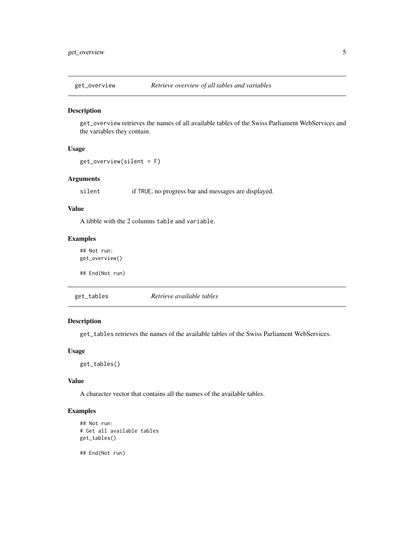<span id="page-4-2"></span><span id="page-4-0"></span>

#### Description

get\_overview retrieves the names of all available tables of the Swiss Parliament WebServices and the variables they contain.

#### Usage

get\_overview(silent = F)

#### Arguments

silent if TRUE, no progress bar and messages are displayed.

#### Value

A tibble with the 2 columns table and variable.

#### Examples

## Not run: get\_overview()

## End(Not run)

<span id="page-4-1"></span>get\_tables *Retrieve available tables*

#### Description

get\_tables retrieves the names of the available tables of the Swiss Parliament WebServices.

#### Usage

get\_tables()

#### Value

A character vector that contains all the names of the available tables.

#### Examples

```
## Not run:
# Get all available tables
get_tables()
```
## End(Not run)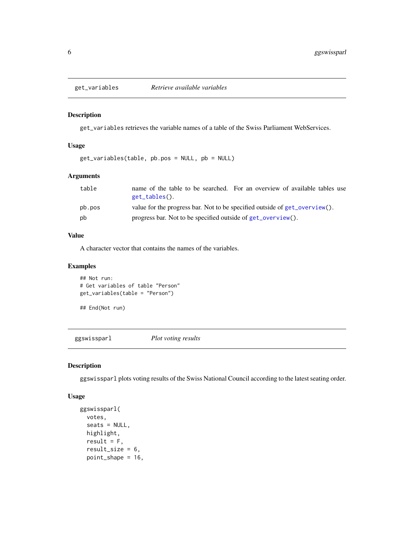<span id="page-5-1"></span><span id="page-5-0"></span>

#### Description

get\_variables retrieves the variable names of a table of the Swiss Parliament WebServices.

#### Usage

get\_variables(table, pb.pos = NULL, pb = NULL)

#### Arguments

| table  | name of the table to be searched. For an overview of available tables use<br>$get_tables()$ . |
|--------|-----------------------------------------------------------------------------------------------|
| pb.pos | value for the progress bar. Not to be specified outside of get_overview().                    |
| pb     | progress bar. Not to be specified outside of get_overview().                                  |

#### Value

A character vector that contains the names of the variables.

#### Examples

```
## Not run:
# Get variables of table "Person"
get_variables(table = "Person")
```

```
## End(Not run)
```
ggswissparl *Plot voting results*

#### Description

ggswissparl plots voting results of the Swiss National Council according to the latest seating order.

#### Usage

```
ggswissparl(
  votes,
  seats = NULL,
 highlight,
  result = F,result\_size = 6,
  point_shape = 16,
```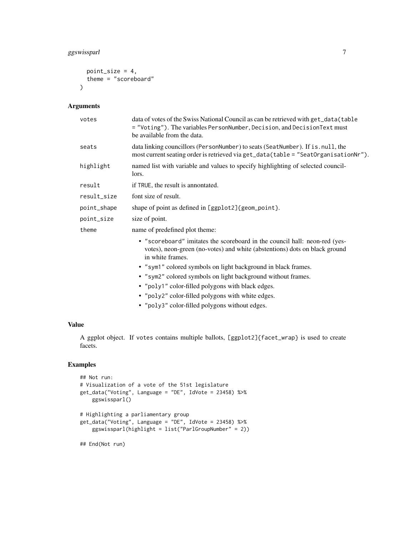#### ggswissparl 7

```
point_size = 4,
  theme = "scoreboard"
\lambda
```
#### Arguments

| data of votes of the Swiss National Council as can be retrieved with get_data(table<br>= "Voting"). The variables PersonNumber, Decision, and DecisionText must<br>be available from the data. |
|------------------------------------------------------------------------------------------------------------------------------------------------------------------------------------------------|
| data linking councillors (PersonNumber) to seats (SeatNumber). If is null, the<br>most current seating order is retrieved via get_data(table = "SeatOrganisationNr").                          |
| named list with variable and values to specify highlighting of selected council-<br>lors.                                                                                                      |
| if TRUE, the result is annontated.                                                                                                                                                             |
| font size of result.                                                                                                                                                                           |
| shape of point as defined in [ggplot2] {geom_point}.                                                                                                                                           |
| size of point.                                                                                                                                                                                 |
| name of predefined plot theme:                                                                                                                                                                 |
| • "scoreboard" imitates the scoreboard in the council hall: neon-red (yes-<br>votes), neon-green (no-votes) and white (abstentions) dots on black ground<br>in white frames.                   |
| • "sym1" colored symbols on light background in black frames.                                                                                                                                  |
| • "sym2" colored symbols on light background without frames.                                                                                                                                   |
| • "poly1" color-filled polygons with black edges.                                                                                                                                              |
| • "poly2" color-filled polygons with white edges.                                                                                                                                              |
|                                                                                                                                                                                                |

• "poly3" color-filled polygons without edges.

#### Value

A ggplot object. If votes contains multiple ballots, [ggplot2]{facet\_wrap} is used to create facets.

#### Examples

```
## Not run:
# Visualization of a vote of the 51st legislature
get_data("Voting", Language = "DE", IdVote = 23458) %>%
   ggswissparl()
# Highlighting a parliamentary group
get_data("Voting", Language = "DE", IdVote = 23458) %>%
   ggswissparl(highlight = list("ParlGroupNumber" = 2))
```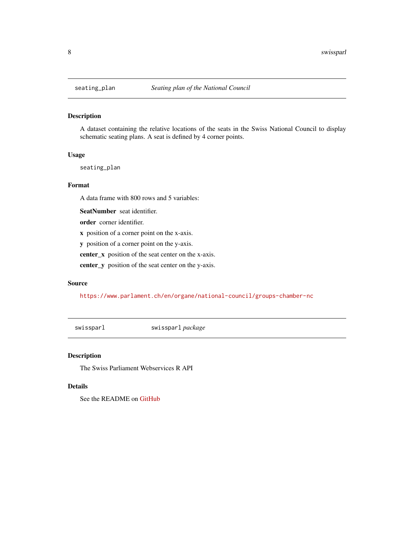#### Description

A dataset containing the relative locations of the seats in the Swiss National Council to display schematic seating plans. A seat is defined by 4 corner points.

#### Usage

seating\_plan

#### Format

A data frame with 800 rows and 5 variables:

SeatNumber seat identifier.

order corner identifier.

x position of a corner point on the x-axis.

y position of a corner point on the y-axis.

center\_x position of the seat center on the x-axis.

center\_y position of the seat center on the y-axis.

#### Source

<https://www.parlament.ch/en/organe/national-council/groups-chamber-nc>

swissparl swissparl *package*

#### Description

The Swiss Parliament Webservices R API

#### Details

See the README on [GitHub](https://github.com/zumbov2/swissparl#readme)